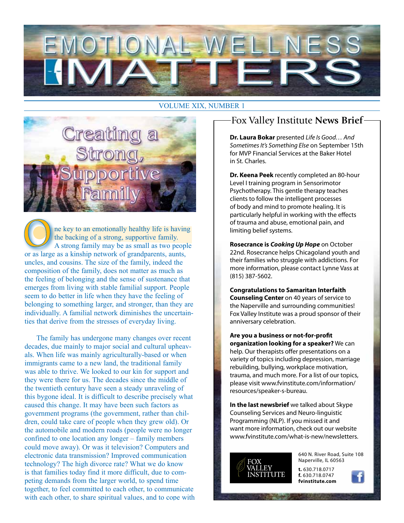

#### VOLUME XIX, NUMBER 1



ne key to an emotionally healthy life is having the backing of a strong, supportive family. A strong family may be as small as two people or as large as a kinship network of grandparents, aunts, uncles, and cousins. The size of the family, indeed the composition of the family, does not matter as much as the feeling of belonging and the sense of sustenance that emerges from living with stable familial support. People seem to do better in life when they have the feeling of belonging to something larger, and stronger, than they are individually. A familial network diminishes the uncertainties that derive from the stresses of everyday living.

The family has undergone many changes over recent decades, due mainly to major social and cultural upheavals. When life was mainly agriculturally-based or when immigrants came to a new land, the traditional family was able to thrive. We looked to our kin for support and they were there for us. The decades since the middle of the twentieth century have seen a steady unraveling of this bygone ideal. It is difficult to describe precisely what caused this change. It may have been such factors as government programs (the government, rather than children, could take care of people when they grew old). Or the automobile and modern roads (people were no longer confined to one location any longer – family members could move away). Or was it television? Computers and electronic data transmission? Improved communication technology? The high divorce rate? What we do know is that families today find it more difficult, due to competing demands from the larger world, to spend time together, to feel committed to each other, to communicate with each other, to share spiritual values, and to cope with

## Fox Valley Institute **News Brief**

**Dr. Laura Bokar** presented *Life Is Good… And Sometimes It's Something Else* on September 15th for MVP Financial Services at the Baker Hotel in St. Charles.

**Dr. Keena Peek** recently completed an 80-hour Level I training program in Sensorimotor Psychotherapy. This gentle therapy teaches clients to follow the intelligent processes of body and mind to promote healing. It is particularly helpful in working with the effects of trauma and abuse, emotional pain, and limiting belief systems.

**Rosecrance is** *Cooking Up Hope* on October 22nd. Rosecrance helps Chicagoland youth and their families who struggle with addictions. For more information, please contact Lynne Vass at (815) 387-5602.

**Congratulations to Samaritan Interfaith Counseling Center** on 40 years of service to the Naperville and surrounding communities! Fox Valley Institute was a proud sponsor of their anniversary celebration.

**Are you a business or not-for-profit organization looking for a speaker?** We can help. Our therapists offer presentations on a variety of topics including depression, marriage rebuilding, bullying, workplace motivation, trauma, and much more. For a list of our topics, please visit www.fvinstitute.com/information/ resources/speaker-s-bureau.

**In the last newsbrief** we talked about Skype Counseling Services and Neuro-linguistic Programming (NLP). If you missed it and want more information, check out our website www.fvinstitute.com/what-is-new/newsletters.



640 N. River Road, Suite 108 Naperville, IL 60563

**t.** 630.718.0717 **f.** 630.718.0747 **fvinstitute.com**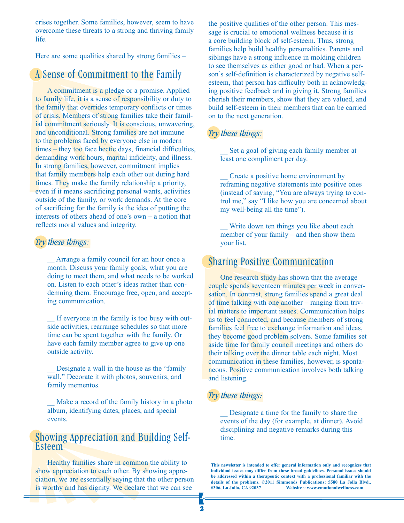crises together. Some families, however, seem to have overcome these threats to a strong and thriving family life.

Here are some qualities shared by strong families –

## A Sense of Commitment to the Family

A commitment is a pledge or a promise. Applied to family life, it is a sense of responsibility or duty to the family that overrides temporary conflicts or times of crisis. Members of strong families take their familial commitment seriously. It is conscious, unwavering, and unconditional. Strong families are not immune to the problems faced by everyone else in modern times – they too face hectic days, financial difficulties, demanding work hours, marital infidelity, and illness. In strong families, however, commitment implies that family members help each other out during hard times. They make the family relationship a priority, even if it means sacrificing personal wants, activities outside of the family, or work demands. At the core of sacrificing for the family is the idea of putting the interests of others ahead of one's own – a notion that reflects moral values and integrity.

#### *Try these things:*

Arrange a family council for an hour once a month. Discuss your family goals, what you are doing to meet them, and what needs to be worked on. Listen to each other's ideas rather than condemning them. Encourage free, open, and accepting communication.

If everyone in the family is too busy with outside activities, rearrange schedules so that more time can be spent together with the family. Or have each family member agree to give up one outside activity.

Designate a wall in the house as the "family" wall." Decorate it with photos, souvenirs, and family mementos.

Make a record of the family history in a photo album, identifying dates, places, and special events.

### Showing Appreciation and Building Self-**Esteem**

Healthy families share in common the ability to show appreciation to each other. By showing appreciation, we are essentially saying that the other person is worthy and has dignity. We declare that we can see

the positive qualities of the other person. This message is crucial to emotional wellness because it is a core building block of self-esteem. Thus, strong families help build healthy personalities. Parents and siblings have a strong influence in molding children to see themselves as either good or bad. When a person's self-definition is characterized by negative selfesteem, that person has difficulty both in acknowledging positive feedback and in giving it. Strong families cherish their members, show that they are valued, and build self-esteem in their members that can be carried on to the next generation.

#### *Try these things:*

Set a goal of giving each family member at least one compliment per day.

\_\_ Create a positive home environment by reframing negative statements into positive ones (instead of saying, "You are always trying to control me," say "I like how you are concerned about my well-being all the time").

Write down ten things you like about each member of your family – and then show them your list.

## Sharing Positive Communication

One research study has shown that the average couple spends seventeen minutes per week in conversation. In contrast, strong families spend a great deal of time talking with one another – ranging from trivial matters to important issues. Communication helps us to feel connected, and because members of strong families feel free to exchange information and ideas, they become good problem solvers. Some families set aside time for family council meetings and others do their talking over the dinner table each night. Most communication in these families, however, is spontaneous. Positive communication involves both talking and listening.

#### *Try these things:*

\_\_ Designate a time for the family to share the events of the day (for example, at dinner). Avoid disciplining and negative remarks during this time.

**This newsletter is intended to offer general information only and recognizes that individual issues may differ from these broad guidelines. Personal issues should be addressed within a therapeutic context with a professional familiar with the details of the problems. ©2011 Simmonds Publications: 5580 La Jolla Blvd., #306, La Jolla, CA 92037 Website ~ www.emotionalwellness.com**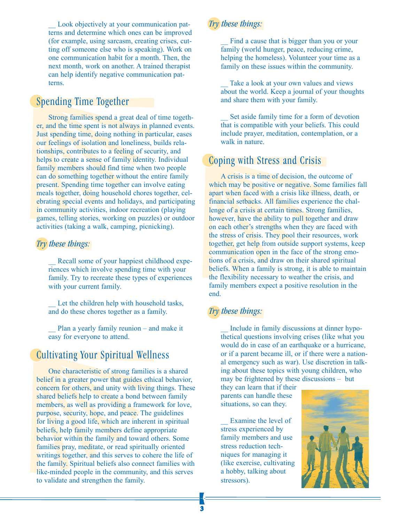Look objectively at your communication patterns and determine which ones can be improved (for example, using sarcasm, creating crises, cutting off someone else who is speaking). Work on one communication habit for a month. Then, the next month, work on another. A trained therapist can help identify negative communication patterns.

## Spending Time Together

Strong families spend a great deal of time together, and the time spent is not always in planned events. Just spending time, doing nothing in particular, eases our feelings of isolation and loneliness, builds relationships, contributes to a feeling of security, and helps to create a sense of family identity. Individual family members should find time when two people can do something together without the entire family present. Spending time together can involve eating meals together, doing household chores together, celebrating special events and holidays, and participating in community activities, indoor recreation (playing games, telling stories, working on puzzles) or outdoor activities (taking a walk, camping, picnicking).

#### *Try these things:*

Recall some of your happiest childhood experiences which involve spending time with your family. Try to recreate these types of experiences with your current family.

Let the children help with household tasks, and do these chores together as a family.

Plan a yearly family reunion – and make it easy for everyone to attend.

## Cultivating Your Spiritual Wellness

One characteristic of strong families is a shared belief in a greater power that guides ethical behavior, concern for others, and unity with living things. These shared beliefs help to create a bond between family members, as well as providing a framework for love, purpose, security, hope, and peace. The guidelines for living a good life, which are inherent in spiritual beliefs, help family members define appropriate behavior within the family and toward others. Some families pray, meditate, or read spiritually oriented writings together, and this serves to cohere the life of the family. Spiritual beliefs also connect families with like-minded people in the community, and this serves to validate and strengthen the family.

#### *Try these things:*

Find a cause that is bigger than you or your family (world hunger, peace, reducing crime, helping the homeless). Volunteer your time as a family on these issues within the community.

Take a look at your own values and views about the world. Keep a journal of your thoughts and share them with your family.

Set aside family time for a form of devotion that is compatible with your beliefs. This could include prayer, meditation, contemplation, or a walk in nature.

## Coping with Stress and Crisis

A crisis is a time of decision, the outcome of which may be positive or negative. Some families fall apart when faced with a crisis like illness, death, or financial setbacks. All families experience the challenge of a crisis at certain times. Strong families, however, have the ability to pull together and draw on each other's strengths when they are faced with the stress of crisis. They pool their resources, work together, get help from outside support systems, keep communication open in the face of the strong emotions of a crisis, and draw on their shared spiritual beliefs. When a family is strong, it is able to maintain the flexibility necessary to weather the crisis, and family members expect a positive resolution in the end.

#### *Try these things:*

Include in family discussions at dinner hypothetical questions involving crises (like what you would do in case of an earthquake or a hurricane, or if a parent became ill, or if there were a national emergency such as war). Use discretion in talking about these topics with young children, who may be frightened by these discussions – but

they can learn that if their parents can handle these situations, so can they.

Examine the level of stress experienced by family members and use stress reduction techniques for managing it (like exercise, cultivating a hobby, talking about stressors).